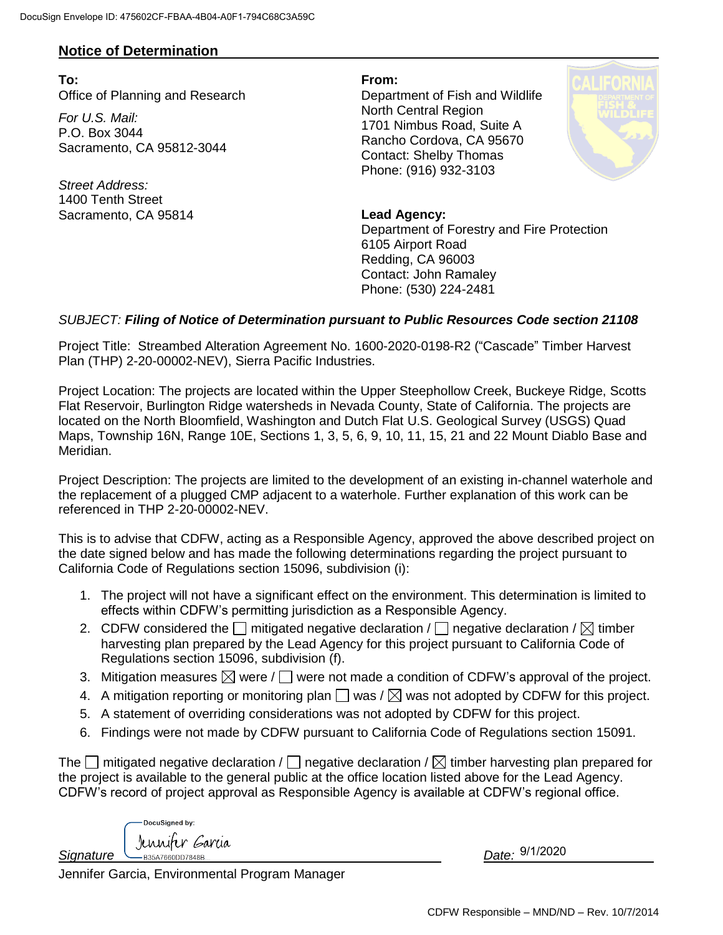## **Notice of Determination**

**To: From:** Office of Planning and Research Department of Fish and Wildlife

*For U.S. Mail:* P.O. Box 3044 Sacramento, CA 95812-3044

*Street Address:* 1400 Tenth Street Sacramento, CA 95814 **Lead Agency:** 

North Central Region 1701 Nimbus Road, Suite A Rancho Cordova, CA 95670 Contact: Shelby Thomas Phone: (916) 932-3103



Department of Forestry and Fire Protection 6105 Airport Road Redding, CA 96003 Contact: John Ramaley Phone: (530) 224-2481

## *SUBJECT: Filing of Notice of Determination pursuant to Public Resources Code section 21108*

Project Title: Streambed Alteration Agreement No. 1600-2020-0198-R2 ("Cascade" Timber Harvest Plan (THP) 2-20-00002-NEV), Sierra Pacific Industries.

Project Location: The projects are located within the Upper Steephollow Creek, Buckeye Ridge, Scotts Flat Reservoir, Burlington Ridge watersheds in Nevada County, State of California. The projects are located on the North Bloomfield, Washington and Dutch Flat U.S. Geological Survey (USGS) Quad Maps, Township 16N, Range 10E, Sections 1, 3, 5, 6, 9, 10, 11, 15, 21 and 22 Mount Diablo Base and Meridian.

Project Description: The projects are limited to the development of an existing in-channel waterhole and the replacement of a plugged CMP adjacent to a waterhole. Further explanation of this work can be referenced in THP 2-20-00002-NEV.

This is to advise that CDFW, acting as a Responsible Agency, approved the above described project on the date signed below and has made the following determinations regarding the project pursuant to California Code of Regulations section 15096, subdivision (i):

- 1. The project will not have a significant effect on the environment. This determination is limited to effects within CDFW's permitting jurisdiction as a Responsible Agency.
- 2. CDFW considered the  $\Box$  mitigated negative declaration /  $\Box$  negative declaration /  $\boxtimes$  timber harvesting plan prepared by the Lead Agency for this project pursuant to California Code of Regulations section 15096, subdivision (f).
- 3. Mitigation measures  $\boxtimes$  were /  $\Box$  were not made a condition of CDFW's approval of the project.
- 4. A mitigation reporting or monitoring plan  $\Box$  was /  $\boxtimes$  was not adopted by CDFW for this project.
- 5. A statement of overriding considerations was not adopted by CDFW for this project.
- 6. Findings were not made by CDFW pursuant to California Code of Regulations section 15091.

The  $\Box$  mitigated negative declaration /  $\Box$  negative declaration /  $\boxtimes$  timber harvesting plan prepared for the project is available to the general public at the office location listed above for the Lead Agency. CDFW's record of project approval as Responsible Agency is available at CDFW's regional office.

DocuSigned by: Jennifer Garcia Signature *DB35A7660DD7848B.* 

Date: 9/1/2020

Jennifer Garcia, Environmental Program Manager